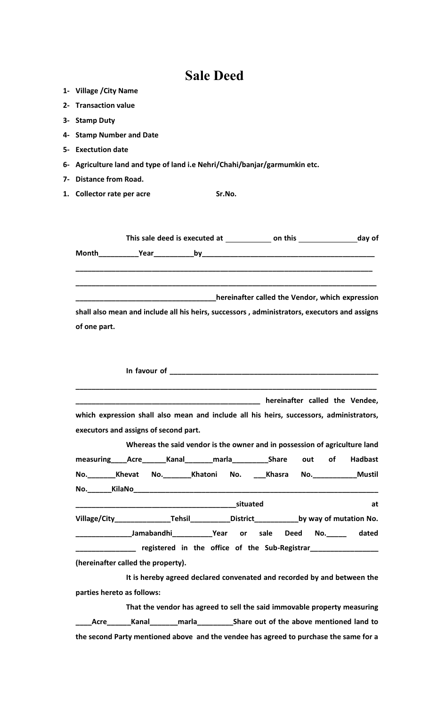## **Sale Deed**

- **1- Village /City Name**
- **2- Transaction value**
- **3- Stamp Duty**
- **4- Stamp Number and Date**
- **5- Exectution date**
- **6- Agriculture land and type of land i.e Nehri/Chahi/banjar/garmumkin etc.**
- **7- Distance from Road.**
- **1. Collector rate per acre Sr.No.**

|              |                        | This sale deed is executed at | on this                                                                                      | day of |  |
|--------------|------------------------|-------------------------------|----------------------------------------------------------------------------------------------|--------|--|
| Month        | <b>Example 2 Pream</b> |                               |                                                                                              |        |  |
|              |                        |                               | hereinafter called the Vendor, which expression                                              |        |  |
|              |                        |                               | shall also mean and include all his heirs, successors, administrators, executors and assigns |        |  |
| of one part. |                        |                               |                                                                                              |        |  |

| which expression shall also mean and include all his heirs, successors, administrators,       |                                                                            |                                                                            |  |  |  |    |
|-----------------------------------------------------------------------------------------------|----------------------------------------------------------------------------|----------------------------------------------------------------------------|--|--|--|----|
| executors and assigns of second part.                                                         |                                                                            |                                                                            |  |  |  |    |
|                                                                                               |                                                                            | Whereas the said vendor is the owner and in possession of agriculture land |  |  |  |    |
| measuring____Acre_______Kanal________marla__________Share out of Hadbast                      |                                                                            |                                                                            |  |  |  |    |
| No. Khevat No. Khatoni No. Khasra No. Mustil                                                  |                                                                            |                                                                            |  |  |  |    |
|                                                                                               |                                                                            |                                                                            |  |  |  |    |
|                                                                                               |                                                                            |                                                                            |  |  |  | at |
| Village/City__________________Tehsil_____________District______________by way of mutation No. |                                                                            |                                                                            |  |  |  |    |
|                                                                                               | __________________Jamabandhi_____________Year or sale Deed No.______ dated |                                                                            |  |  |  |    |
| ________________ registered in the office of the Sub-Registrar__________________              |                                                                            |                                                                            |  |  |  |    |
| (hereinafter called the property).                                                            |                                                                            |                                                                            |  |  |  |    |
|                                                                                               |                                                                            | It is hereby agreed declared convenated and recorded by and between the    |  |  |  |    |

**parties hereto as follows:**

**That the vendor has agreed to sell the said immovable property measuring \_\_\_\_Acre\_\_\_\_\_\_Kanal\_\_\_\_\_\_\_marla\_\_\_\_\_\_\_\_\_Share out of the above mentioned land to the second Party mentioned above and the vendee has agreed to purchase the same for a**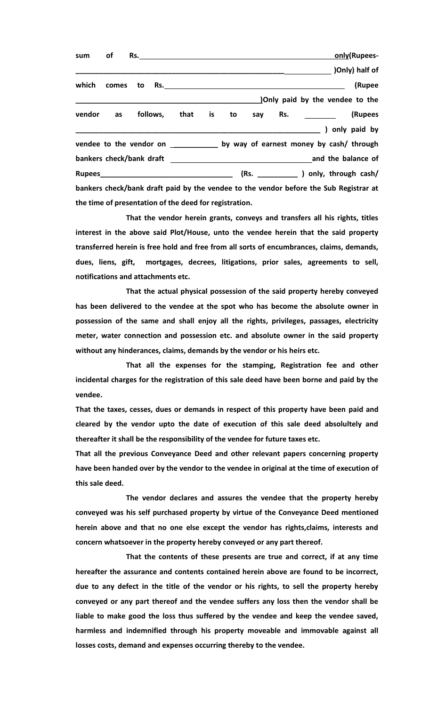|  |  |                                                        |  |  |  | only(Rupees-                                                                          |
|--|--|--------------------------------------------------------|--|--|--|---------------------------------------------------------------------------------------|
|  |  |                                                        |  |  |  | (Only) half of                                                                        |
|  |  |                                                        |  |  |  | (Rupee                                                                                |
|  |  |                                                        |  |  |  | Only paid by the vendee to the                                                        |
|  |  |                                                        |  |  |  | vendor as follows, that is to say Rs. ________ (Rupees                                |
|  |  |                                                        |  |  |  | (a) only paid by                                                                      |
|  |  |                                                        |  |  |  | vendee to the vendor on _____________ by way of earnest money by cash/ through        |
|  |  |                                                        |  |  |  |                                                                                       |
|  |  |                                                        |  |  |  |                                                                                       |
|  |  |                                                        |  |  |  | bankers check/bank draft paid by the vendee to the vendor before the Sub Registrar at |
|  |  | the time of presentation of the deed for registration. |  |  |  |                                                                                       |

**That the vendor herein grants, conveys and transfers all his rights, titles interest in the above said Plot/House, unto the vendee herein that the said property transferred herein is free hold and free from all sorts of encumbrances, claims, demands, dues, liens, gift, mortgages, decrees, litigations, prior sales, agreements to sell, notifications and attachments etc.** 

**That the actual physical possession of the said property hereby conveyed has been delivered to the vendee at the spot who has become the absolute owner in possession of the same and shall enjoy all the rights, privileges, passages, electricity meter, water connection and possession etc. and absolute owner in the said property without any hinderances, claims, demands by the vendor or his heirs etc.**

**That all the expenses for the stamping, Registration fee and other incidental charges for the registration of this sale deed have been borne and paid by the vendee.**

**That the taxes, cesses, dues or demands in respect of this property have been paid and cleared by the vendor upto the date of execution of this sale deed absolultely and thereafter it shall be the responsibility of the vendee for future taxes etc.**

**That all the previous Conveyance Deed and other relevant papers concerning property have been handed over by the vendor to the vendee in original at the time of execution of this sale deed.**

**The vendor declares and assures the vendee that the property hereby conveyed was his self purchased property by virtue of the Conveyance Deed mentioned herein above and that no one else except the vendor has rights,claims, interests and concern whatsoever in the property hereby conveyed or any part thereof.**

**That the contents of these presents are true and correct, if at any time hereafter the assurance and contents contained herein above are found to be incorrect, due to any defect in the title of the vendor or his rights, to sell the property hereby conveyed or any part thereof and the vendee suffers any loss then the vendor shall be liable to make good the loss thus suffered by the vendee and keep the vendee saved, harmless and indemnified through his property moveable and immovable against all losses costs, demand and expenses occurring thereby to the vendee.**